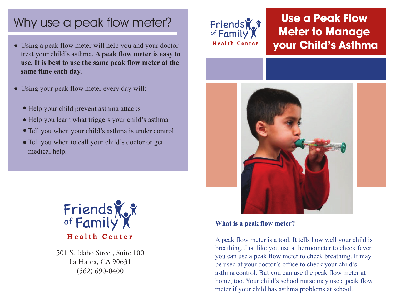# Why use a peak flow meter?

- Using a peak flow meter will help you and your doctor treat your child's asthma. **A peak flow meter is easy to use. It is best to use the same peak flow meter at the same time each day.**
- Using your peak flow meter every day will:
	- Help your child prevent asthma attacks
	- Help you learn what triggers your child's asthma
	- Tell you when your child's asthma is under control
	- Tell you when to call your child's doctor or get medical help.



501 S. Idaho Street, Suite 100 La Habra, CA 90631 (562) 690-0400



## **Use a Peak Flow Meter to Manage your Child's Asthma**



**What is a peak flow meter?**

A peak flow meter is a tool. It tells how well your child is breathing. Just like you use a thermometer to check fever, you can use a peak flow meter to check breathing. It may be used at your doctor's office to check your child's asthma control. But you can use the peak flow meter at home, too. Your child's school nurse may use a peak flow meter if your child has asthma problems at school.